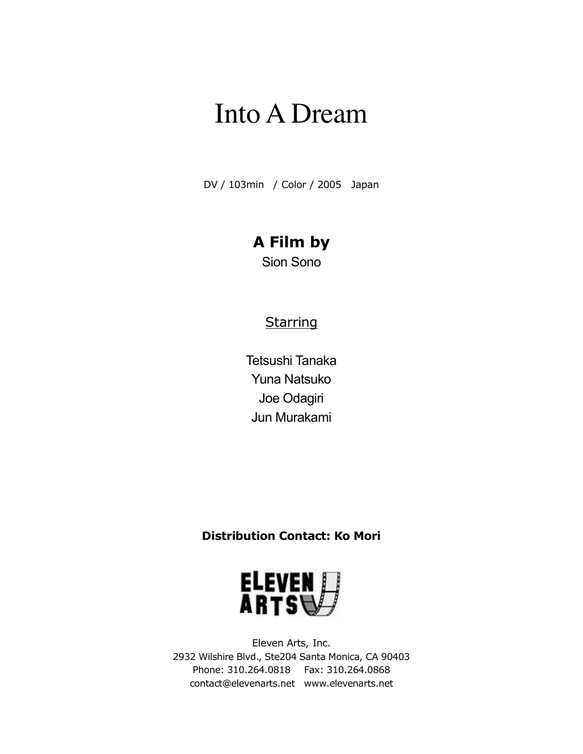DV / 103min / Color / 2005 Japan

## **A Film by**

Sion Sono

### **Starring**

Tetsushi Tanaka Yuna Natsuko Joe Odagiri Jun Murakami

#### **Distribution Contact: Ko Mori**



Eleven Arts, Inc. 2932 Wilshire Blvd., Ste204 Santa Monica, CA 90403 Phone: 310.264.0818 Fax: 310.264.0868 contact@elevenarts.net www.elevenarts.net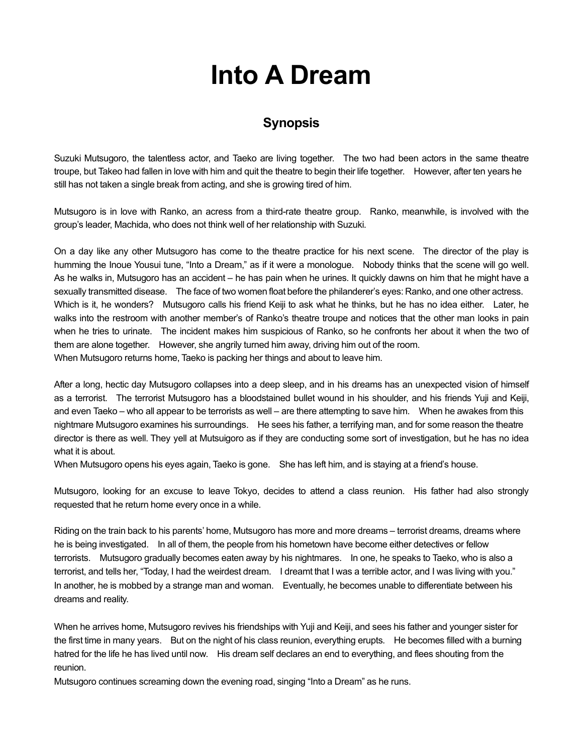#### **Synopsis**

Suzuki Mutsugoro, the talentless actor, and Taeko are living together. The two had been actors in the same theatre troupe, but Takeo had fallen in love with him and quit the theatre to begin their life together. However, after ten years he still has not taken a single break from acting, and she is growing tired of him.

Mutsugoro is in love with Ranko, an acress from a third-rate theatre group. Ranko, meanwhile, is involved with the group's leader, Machida, who does not think well of her relationship with Suzuki.

On a day like any other Mutsugoro has come to the theatre practice for his next scene. The director of the play is humming the Inoue Yousui tune, "Into a Dream," as if it were a monologue. Nobody thinks that the scene will go well. As he walks in, Mutsugoro has an accident – he has pain when he urines. It quickly dawns on him that he might have a sexually transmitted disease. The face of two women float before the philanderer's eyes: Ranko, and one other actress. Which is it, he wonders? Mutsugoro calls his friend Keiji to ask what he thinks, but he has no idea either. Later, he walks into the restroom with another member's of Ranko's theatre troupe and notices that the other man looks in pain when he tries to urinate. The incident makes him suspicious of Ranko, so he confronts her about it when the two of them are alone together. However, she angrily turned him away, driving him out of the room. When Mutsugoro returns home, Taeko is packing her things and about to leave him.

After a long, hectic day Mutsugoro collapses into a deep sleep, and in his dreams has an unexpected vision of himself as a terrorist. The terrorist Mutsugoro has a bloodstained bullet wound in his shoulder, and his friends Yuji and Keiji, and even Taeko – who all appear to be terrorists as well – are there attempting to save him. When he awakes from this nightmare Mutsugoro examines his surroundings. He sees his father, a terrifying man, and for some reason the theatre director is there as well. They yell at Mutsuigoro as if they are conducting some sort of investigation, but he has no idea what it is about.

When Mutsugoro opens his eyes again, Taeko is gone. She has left him, and is staying at a friend's house.

Mutsugoro, looking for an excuse to leave Tokyo, decides to attend a class reunion. His father had also strongly requested that he return home every once in a while.

Riding on the train back to his parents' home, Mutsugoro has more and more dreams – terrorist dreams, dreams where he is being investigated. In all of them, the people from his hometown have become either detectives or fellow terrorists. Mutsugoro gradually becomes eaten away by his nightmares. In one, he speaks to Taeko, who is also a terrorist, and tells her, "Today, I had the weirdest dream. I dreamt that I was a terrible actor, and I was living with you." In another, he is mobbed by a strange man and woman. Eventually, he becomes unable to differentiate between his dreams and reality.

When he arrives home, Mutsugoro revives his friendships with Yuji and Keiji, and sees his father and younger sister for the first time in many years. But on the night of his class reunion, everything erupts. He becomes filled with a burning hatred for the life he has lived until now. His dream self declares an end to everything, and flees shouting from the reunion.

Mutsugoro continues screaming down the evening road, singing "Into a Dream" as he runs.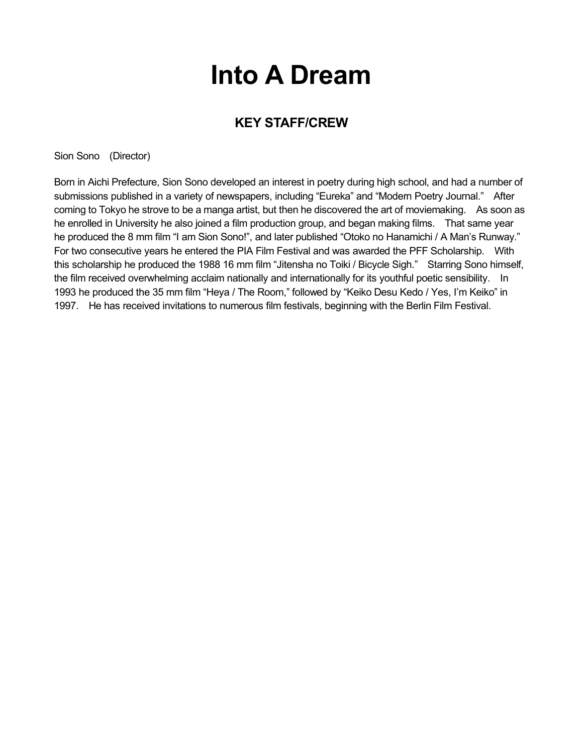### **KEY STAFF/CREW**

Sion Sono (Director)

Born in Aichi Prefecture, Sion Sono developed an interest in poetry during high school, and had a number of submissions published in a variety of newspapers, including "Eureka" and "Modern Poetry Journal." After coming to Tokyo he strove to be a manga artist, but then he discovered the art of moviemaking. As soon as he enrolled in University he also joined a film production group, and began making films. That same year he produced the 8 mm film "I am Sion Sono!", and later published "Otoko no Hanamichi / A Man's Runway." For two consecutive years he entered the PIA Film Festival and was awarded the PFF Scholarship. With this scholarship he produced the 1988 16 mm film "Jitensha no Toiki / Bicycle Sigh." Starring Sono himself, the film received overwhelming acclaim nationally and internationally for its youthful poetic sensibility. In 1993 he produced the 35 mm film "Heya / The Room," followed by "Keiko Desu Kedo / Yes, I'm Keiko" in 1997. He has received invitations to numerous film festivals, beginning with the Berlin Film Festival.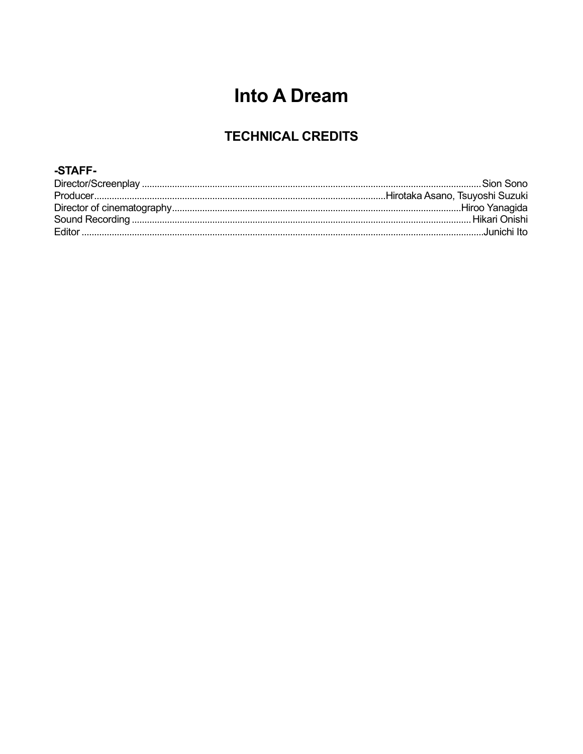### **TECHNICAL CREDITS**

#### -STAFF-